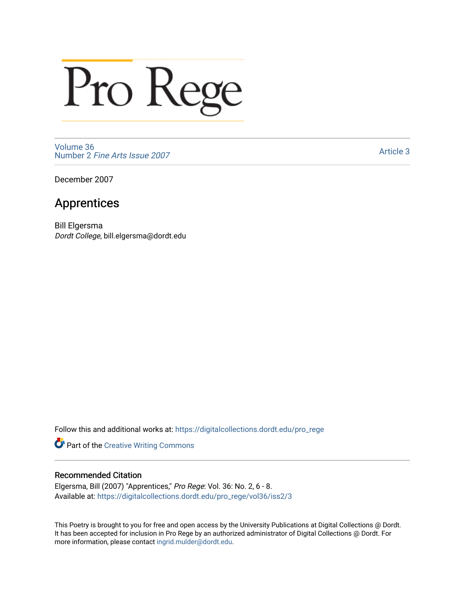## Pro Rege

[Volume 36](https://digitalcollections.dordt.edu/pro_rege/vol36) Number 2 [Fine Arts Issue 2007](https://digitalcollections.dordt.edu/pro_rege/vol36/iss2) 

[Article 3](https://digitalcollections.dordt.edu/pro_rege/vol36/iss2/3) 

December 2007

## Apprentices

Bill Elgersma Dordt College, bill.elgersma@dordt.edu

Follow this and additional works at: [https://digitalcollections.dordt.edu/pro\\_rege](https://digitalcollections.dordt.edu/pro_rege?utm_source=digitalcollections.dordt.edu%2Fpro_rege%2Fvol36%2Fiss2%2F3&utm_medium=PDF&utm_campaign=PDFCoverPages) 

Part of the [Creative Writing Commons](http://network.bepress.com/hgg/discipline/574?utm_source=digitalcollections.dordt.edu%2Fpro_rege%2Fvol36%2Fiss2%2F3&utm_medium=PDF&utm_campaign=PDFCoverPages) 

## Recommended Citation

Elgersma, Bill (2007) "Apprentices," Pro Rege: Vol. 36: No. 2, 6 - 8. Available at: [https://digitalcollections.dordt.edu/pro\\_rege/vol36/iss2/3](https://digitalcollections.dordt.edu/pro_rege/vol36/iss2/3?utm_source=digitalcollections.dordt.edu%2Fpro_rege%2Fvol36%2Fiss2%2F3&utm_medium=PDF&utm_campaign=PDFCoverPages) 

This Poetry is brought to you for free and open access by the University Publications at Digital Collections @ Dordt. It has been accepted for inclusion in Pro Rege by an authorized administrator of Digital Collections @ Dordt. For more information, please contact [ingrid.mulder@dordt.edu.](mailto:ingrid.mulder@dordt.edu)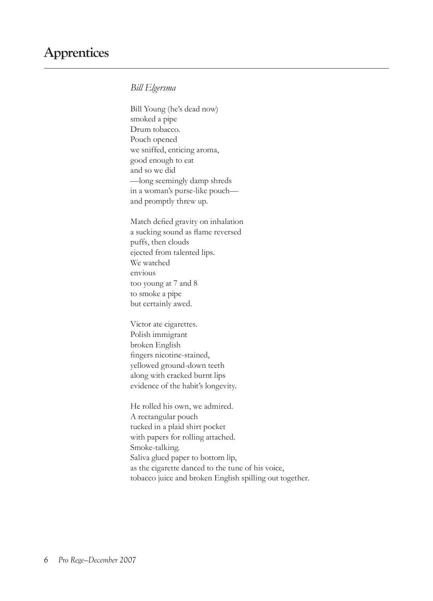## *Bill Elgersma*

Bill Young (he's dead now) smoked a pipe Drum tobacco. Pouch opened we sniffed, enticing aroma, good enough to eat and so we did —long seemingly damp shreds in a woman's purse-like pouch and promptly threw up.

Match defied gravity on inhalation a sucking sound as flame reversed puffs, then clouds ejected from talented lips. We watched envious too young at 7 and 8 to smoke a pipe but certainly awed.

Victor ate cigarettes. Polish immigrant broken English fingers nicotine-stained, yellowed ground-down teeth along with cracked burnt lips evidence of the habit's longevity.

He rolled his own, we admired. A rectangular pouch tucked in a plaid shirt pocket with papers for rolling attached. Smoke-talking. Saliva glued paper to bottom lip, as the cigarette danced to the tune of his voice, tobacco juice and broken English spilling out together.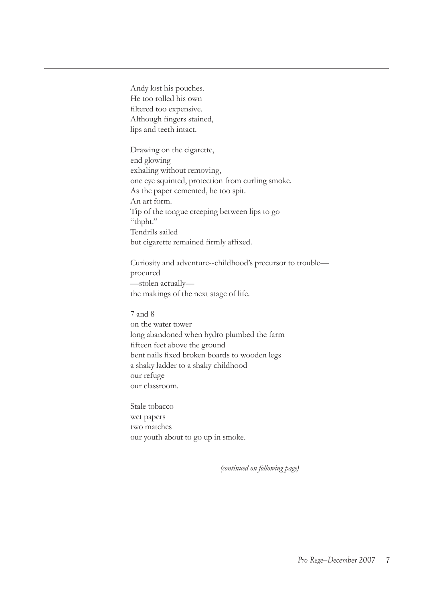Andy lost his pouches. He too rolled his own filtered too expensive. Although fingers stained, lips and teeth intact.

Drawing on the cigarette, end glowing exhaling without removing, one eye squinted, protection from curling smoke. As the paper cemented, he too spit. An art form. Tip of the tongue creeping between lips to go "thpht." Tendrils sailed but cigarette remained firmly affixed.

Curiosity and adventure--childhood's precursor to trouble procured —stolen actually the makings of the next stage of life.

7 and 8 on the water tower long abandoned when hydro plumbed the farm fifteen feet above the ground bent nails fixed broken boards to wooden legs a shaky ladder to a shaky childhood our refuge our classroom.

Stale tobacco wet papers two matches our youth about to go up in smoke.

*(continued on following page)*